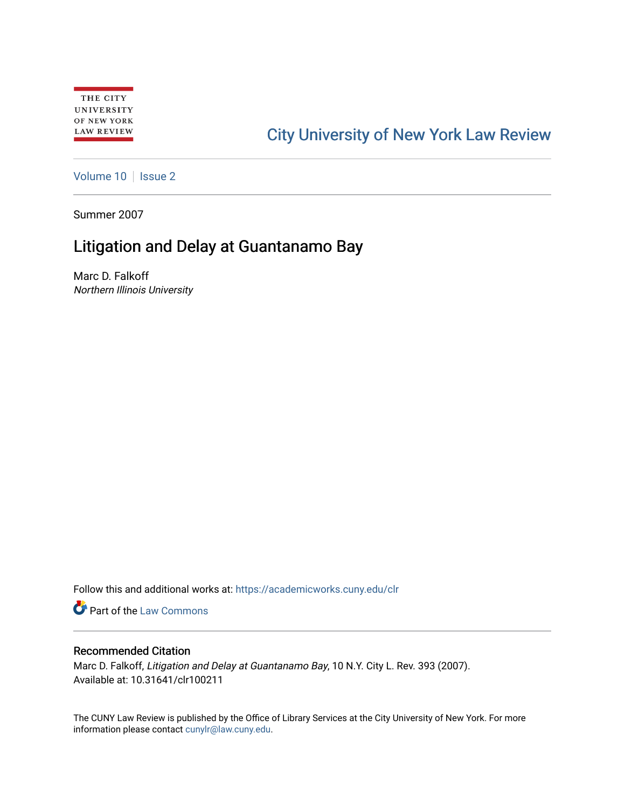# [City University of New York Law Review](https://academicworks.cuny.edu/clr)

[Volume 10](https://academicworks.cuny.edu/clr/vol10) | [Issue 2](https://academicworks.cuny.edu/clr/vol10/iss2)

Summer 2007

## Litigation and Delay at Guantanamo Bay

Marc D. Falkoff Northern Illinois University

Follow this and additional works at: [https://academicworks.cuny.edu/clr](https://academicworks.cuny.edu/clr?utm_source=academicworks.cuny.edu%2Fclr%2Fvol10%2Fiss2%2F12&utm_medium=PDF&utm_campaign=PDFCoverPages) 

**Part of the [Law Commons](http://network.bepress.com/hgg/discipline/578?utm_source=academicworks.cuny.edu%2Fclr%2Fvol10%2Fiss2%2F12&utm_medium=PDF&utm_campaign=PDFCoverPages)** 

#### Recommended Citation

Marc D. Falkoff, Litigation and Delay at Guantanamo Bay, 10 N.Y. City L. Rev. 393 (2007). Available at: 10.31641/clr100211

The CUNY Law Review is published by the Office of Library Services at the City University of New York. For more information please contact [cunylr@law.cuny.edu](mailto:cunylr@law.cuny.edu).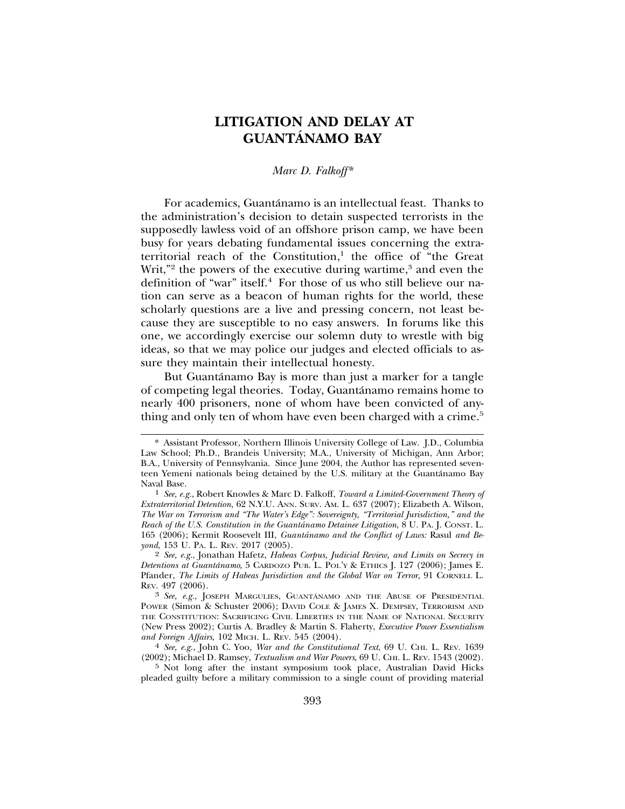### **LITIGATION AND DELAY AT GUANTANAMO BAY ´**

#### *Marc D. Falkoff\**

For academics, Guantánamo is an intellectual feast. Thanks to the administration's decision to detain suspected terrorists in the supposedly lawless void of an offshore prison camp, we have been busy for years debating fundamental issues concerning the extraterritorial reach of the Constitution,<sup>1</sup> the office of "the Great Writ,"<sup>2</sup> the powers of the executive during wartime,<sup>3</sup> and even the definition of "war" itself.<sup>4</sup> For those of us who still believe our nation can serve as a beacon of human rights for the world, these scholarly questions are a live and pressing concern, not least because they are susceptible to no easy answers. In forums like this one, we accordingly exercise our solemn duty to wrestle with big ideas, so that we may police our judges and elected officials to assure they maintain their intellectual honesty.

But Guantánamo Bay is more than just a marker for a tangle of competing legal theories. Today, Guantanamo remains home to ´ nearly 400 prisoners, none of whom have been convicted of anything and only ten of whom have even been charged with a crime.<sup>5</sup>

<sup>\*</sup> Assistant Professor, Northern Illinois University College of Law. J.D., Columbia Law School; Ph.D., Brandeis University; M.A., University of Michigan, Ann Arbor; B.A., University of Pennsylvania. Since June 2004, the Author has represented seventeen Yemeni nationals being detained by the U.S. military at the Guantánamo Bay Naval Base.

<sup>&</sup>lt;sup>1</sup> *See, e.g.*, Robert Knowles & Marc D. Falkoff, *Toward a Limited-Government Theory of Extraterritorial Detention*, 62 N.Y.U. ANN. SURV. AM. L. 637 (2007); Elizabeth A. Wilson, *The War on Terrorism and "The Water's Edge": Sovereignty, "Territorial Jurisdiction," and the Reach of the U.S. Constitution in the Guantánamo Detainee Litigation*, 8 U. PA. J. CONST. L. 165 (2006); Kermit Roosevelt III, *Guantánamo and the Conflict of Laws: Rasul and Beyond*, 153 U. PA. L. REV. 2017 (2005).

<sup>2</sup> *See, e.g.*, Jonathan Hafetz, *Habeas Corpus, Judicial Review, and Limits on Secrecy in Detentions at Guantanamo ´* , 5 CARDOZO PUB. L. POL'Y & ETHICS J. 127 (2006); James E. Pfander, *The Limits of Habeas Jurisdiction and the Global War on Terror*, 91 CORNELL L. REV. 497 (2006).

<sup>&</sup>lt;sup>3</sup> See, e.g., JOSEPH MARGULIES, GUANTÁNAMO AND THE ABUSE OF PRESIDENTIAL POWER (Simon & Schuster 2006); DAVID COLE & JAMES X. DEMPSEY, TERRORISM AND THE CONSTITUTION: SACRIFICING CIVIL LIBERTIES IN THE NAME OF NATIONAL SECURITY (New Press 2002); Curtis A. Bradley & Martin S. Flaherty, *Executive Power Essentialism*

<sup>&</sup>lt;sup>4</sup> See, e.g., John C. Yoo, *War and the Constitutional Text*, 69 U. CHI. L. REV. 1639 (2002); Michael D. Ramsey, *Textualism and War Powers*, 69 U. CHI. L. REV. 1543 (2002).

<sup>5</sup> Not long after the instant symposium took place, Australian David Hicks pleaded guilty before a military commission to a single count of providing material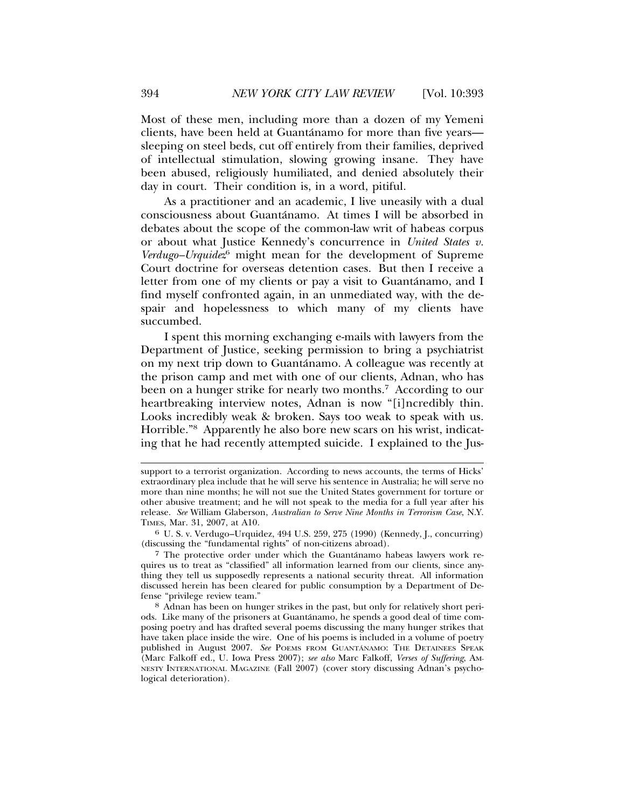Most of these men, including more than a dozen of my Yemeni clients, have been held at Guantanamo for more than five years— ´ sleeping on steel beds, cut off entirely from their families, deprived of intellectual stimulation, slowing growing insane. They have been abused, religiously humiliated, and denied absolutely their day in court. Their condition is, in a word, pitiful.

As a practitioner and an academic, I live uneasily with a dual consciousness about Guantanamo. At times I will be absorbed in ´ debates about the scope of the common-law writ of habeas corpus or about what Justice Kennedy's concurrence in *United States v. Verdugo–Urquidez*<sup>6</sup> might mean for the development of Supreme Court doctrine for overseas detention cases. But then I receive a letter from one of my clients or pay a visit to Guantánamo, and I find myself confronted again, in an unmediated way, with the despair and hopelessness to which many of my clients have succumbed.

I spent this morning exchanging e-mails with lawyers from the Department of Justice, seeking permission to bring a psychiatrist on my next trip down to Guantánamo. A colleague was recently at the prison camp and met with one of our clients, Adnan, who has been on a hunger strike for nearly two months.<sup>7</sup> According to our heartbreaking interview notes, Adnan is now "[i]ncredibly thin. Looks incredibly weak & broken. Says too weak to speak with us. Horrible."8 Apparently he also bore new scars on his wrist, indicating that he had recently attempted suicide. I explained to the Jus-

support to a terrorist organization. According to news accounts, the terms of Hicks' extraordinary plea include that he will serve his sentence in Australia; he will serve no more than nine months; he will not sue the United States government for torture or other abusive treatment; and he will not speak to the media for a full year after his release. *See* William Glaberson, *Australian to Serve Nine Months in Terrorism Case*, N.Y. TIMES, Mar. 31, 2007, at A10.

<sup>6</sup> U. S. v. Verdugo–Urquidez, 494 U.S. 259, 275 (1990) (Kennedy, J., concurring) (discussing the "fundamental rights" of non-citizens abroad).

<sup>7</sup> The protective order under which the Guantanamo habeas lawyers work re- ´ quires us to treat as "classified" all information learned from our clients, since anything they tell us supposedly represents a national security threat. All information discussed herein has been cleared for public consumption by a Department of Defense "privilege review team."

<sup>8</sup> Adnan has been on hunger strikes in the past, but only for relatively short periods. Like many of the prisoners at Guantanamo, he spends a good deal of time com- ´ posing poetry and has drafted several poems discussing the many hunger strikes that have taken place inside the wire. One of his poems is included in a volume of poetry published in August 2007. See POEMS FROM GUANTÁNAMO: THE DETAINEES SPEAK (Marc Falkoff ed., U. Iowa Press 2007); *see also* Marc Falkoff, *Verses of Suffering*, AM-NESTY INTERNATIONAL MAGAZINE (Fall 2007) (cover story discussing Adnan's psychological deterioration).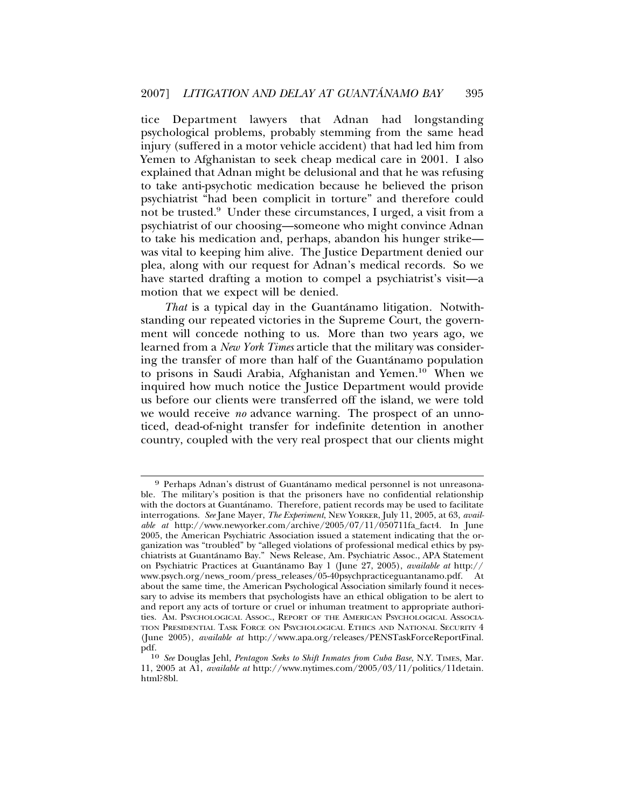tice Department lawyers that Adnan had longstanding psychological problems, probably stemming from the same head injury (suffered in a motor vehicle accident) that had led him from Yemen to Afghanistan to seek cheap medical care in 2001. I also explained that Adnan might be delusional and that he was refusing to take anti-psychotic medication because he believed the prison psychiatrist "had been complicit in torture" and therefore could not be trusted.<sup>9</sup> Under these circumstances, I urged, a visit from a psychiatrist of our choosing—someone who might convince Adnan to take his medication and, perhaps, abandon his hunger strike was vital to keeping him alive. The Justice Department denied our plea, along with our request for Adnan's medical records. So we have started drafting a motion to compel a psychiatrist's visit—a motion that we expect will be denied.

That is a typical day in the Guantánamo litigation. Notwithstanding our repeated victories in the Supreme Court, the government will concede nothing to us. More than two years ago, we learned from a *New York Times* article that the military was considering the transfer of more than half of the Guantanamo population to prisons in Saudi Arabia, Afghanistan and Yemen.10 When we inquired how much notice the Justice Department would provide us before our clients were transferred off the island, we were told we would receive *no* advance warning. The prospect of an unnoticed, dead-of-night transfer for indefinite detention in another country, coupled with the very real prospect that our clients might

<sup>9</sup> Perhaps Adnan's distrust of Guantanamo medical personnel is not unreasona- ´ ble. The military's position is that the prisoners have no confidential relationship with the doctors at Guantánamo. Therefore, patient records may be used to facilitate interrogations. *See* Jane Mayer, *The Experiment*, NEW YORKER, July 11, 2005, at 63, *available at* http://www.newyorker.com/archive/2005/07/11/050711fa\_fact4. In June 2005, the American Psychiatric Association issued a statement indicating that the organization was "troubled" by "alleged violations of professional medical ethics by psychiatrists at Guantanamo Bay." News Release, Am. Psychiatric Assoc., APA Statement ´ on Psychiatric Practices at Guantánamo Bay 1 (June 27, 2005), *available at* http:// www.psych.org/news\_room/press\_releases/05-40psychpracticeguantanamo.pdf. At about the same time, the American Psychological Association similarly found it necessary to advise its members that psychologists have an ethical obligation to be alert to and report any acts of torture or cruel or inhuman treatment to appropriate authorities. AM. PSYCHOLOGICAL ASSOC., REPORT OF THE AMERICAN PSYCHOLOGICAL ASSOCIA-TION PRESIDENTIAL TASK FORCE ON PSYCHOLOGICAL ETHICS AND NATIONAL SECURITY 4 (June 2005), *available at* http://www.apa.org/releases/PENSTaskForceReportFinal. pdf.

<sup>10</sup> *See* Douglas Jehl, *Pentagon Seeks to Shift Inmates from Cuba Base*, N.Y. TIMES, Mar. 11, 2005 at A1, *available at* http://www.nytimes.com/2005/03/11/politics/11detain. html?8bl.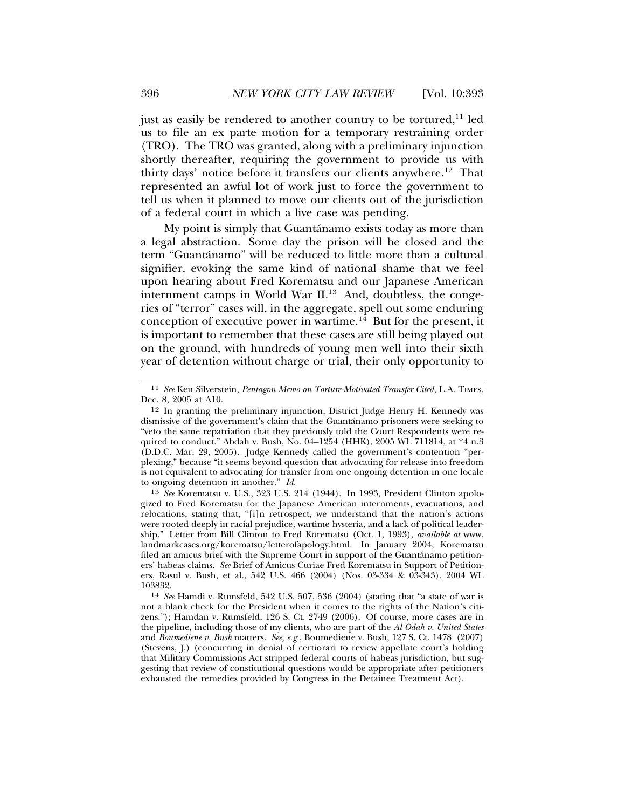just as easily be rendered to another country to be tortured,<sup>11</sup> led us to file an ex parte motion for a temporary restraining order (TRO). The TRO was granted, along with a preliminary injunction shortly thereafter, requiring the government to provide us with thirty days' notice before it transfers our clients anywhere.12 That represented an awful lot of work just to force the government to tell us when it planned to move our clients out of the jurisdiction of a federal court in which a live case was pending.

My point is simply that Guantánamo exists today as more than a legal abstraction. Some day the prison will be closed and the term "Guantanamo" will be reduced to little more than a cultural ´ signifier, evoking the same kind of national shame that we feel upon hearing about Fred Korematsu and our Japanese American internment camps in World War II.<sup>13</sup> And, doubtless, the congeries of "terror" cases will, in the aggregate, spell out some enduring conception of executive power in wartime.<sup>14</sup> But for the present, it is important to remember that these cases are still being played out on the ground, with hundreds of young men well into their sixth year of detention without charge or trial, their only opportunity to

13 *See* Korematsu v. U.S., 323 U.S. 214 (1944). In 1993, President Clinton apologized to Fred Korematsu for the Japanese American internments, evacuations, and relocations, stating that, "[i]n retrospect, we understand that the nation's actions were rooted deeply in racial prejudice, wartime hysteria, and a lack of political leadership." Letter from Bill Clinton to Fred Korematsu (Oct. 1, 1993), *available at* www. landmarkcases.org/korematsu/letterofapology.html. In January 2004, Korematsu filed an amicus brief with the Supreme Court in support of the Guantanamo petitioners' habeas claims. *See* Brief of Amicus Curiae Fred Korematsu in Support of Petitioners, Rasul v. Bush, et al., 542 U.S. 466 (2004) (Nos. 03-334 & 03-343), 2004 WL 103832.

<sup>11</sup> *See* Ken Silverstein, *Pentagon Memo on Torture-Motivated Transfer Cited*, L.A. TIMES, Dec. 8, 2005 at A10.

<sup>12</sup> In granting the preliminary injunction, District Judge Henry H. Kennedy was dismissive of the government's claim that the Guantánamo prisoners were seeking to "veto the same repatriation that they previously told the Court Respondents were required to conduct." Abdah v. Bush, No. 04–1254 (HHK), 2005 WL 711814, at \*4 n.3 (D.D.C. Mar. 29, 2005). Judge Kennedy called the government's contention "perplexing," because "it seems beyond question that advocating for release into freedom is not equivalent to advocating for transfer from one ongoing detention in one locale to ongoing detention in another." *Id.*

<sup>14</sup> *See* Hamdi v. Rumsfeld, 542 U.S. 507, 536 (2004) (stating that "a state of war is not a blank check for the President when it comes to the rights of the Nation's citizens."); Hamdan v. Rumsfeld, 126 S. Ct. 2749 (2006). Of course, more cases are in the pipeline, including those of my clients, who are part of the *Al Odah v. United States* and *Boumediene v. Bush* matters. *See, e.g.*, Boumediene v. Bush, 127 S. Ct. 1478 (2007) (Stevens, J.) (concurring in denial of certiorari to review appellate court's holding that Military Commissions Act stripped federal courts of habeas jurisdiction, but suggesting that review of constitutional questions would be appropriate after petitioners exhausted the remedies provided by Congress in the Detainee Treatment Act).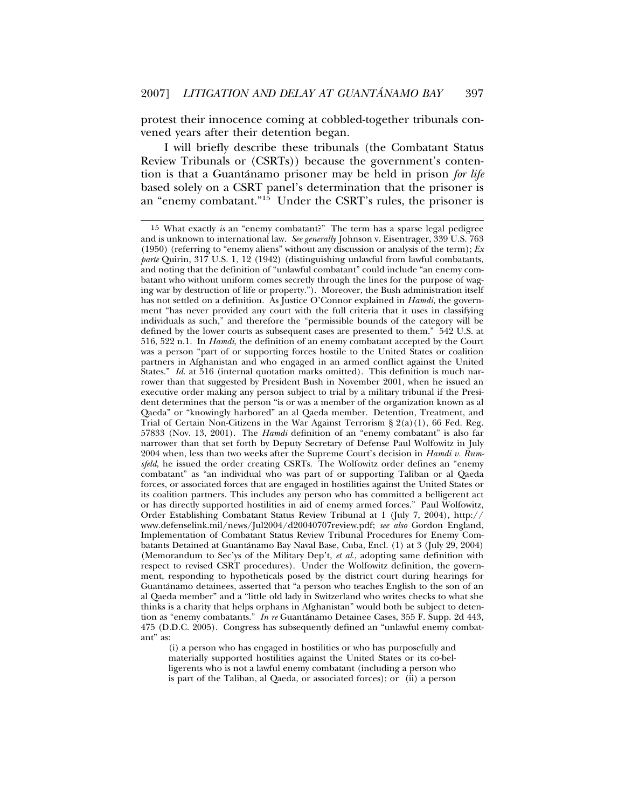protest their innocence coming at cobbled-together tribunals convened years after their detention began.

I will briefly describe these tribunals (the Combatant Status Review Tribunals or (CSRTs)) because the government's contention is that a Guantánamo prisoner may be held in prison for life based solely on a CSRT panel's determination that the prisoner is an "enemy combatant."15 Under the CSRT's rules, the prisoner is

(i) a person who has engaged in hostilities or who has purposefully and materially supported hostilities against the United States or its co-belligerents who is not a lawful enemy combatant (including a person who is part of the Taliban, al Qaeda, or associated forces); or (ii) a person

<sup>15</sup> What exactly *is* an "enemy combatant?" The term has a sparse legal pedigree and is unknown to international law. *See generally* Johnson v. Eisentrager, 339 U.S. 763 (1950) (referring to "enemy aliens" without any discussion or analysis of the term); *Ex parte* Quirin, 317 U.S. 1, 12 (1942) (distinguishing unlawful from lawful combatants, and noting that the definition of "unlawful combatant" could include "an enemy combatant who without uniform comes secretly through the lines for the purpose of waging war by destruction of life or property."). Moreover, the Bush administration itself has not settled on a definition. As Justice O'Connor explained in *Hamdi*, the government "has never provided any court with the full criteria that it uses in classifying individuals as such," and therefore the "permissible bounds of the category will be defined by the lower courts as subsequent cases are presented to them." 542 U.S. at 516, 522 n.1. In *Hamdi*, the definition of an enemy combatant accepted by the Court was a person "part of or supporting forces hostile to the United States or coalition partners in Afghanistan and who engaged in an armed conflict against the United States." *Id.* at 516 (internal quotation marks omitted). This definition is much narrower than that suggested by President Bush in November 2001, when he issued an executive order making any person subject to trial by a military tribunal if the President determines that the person "is or was a member of the organization known as al Qaeda" or "knowingly harbored" an al Qaeda member. Detention, Treatment, and Trial of Certain Non-Citizens in the War Against Terrorism  $\S 2(a)(1)$ , 66 Fed. Reg. 57833 (Nov. 13, 2001). The *Hamdi* definition of an "enemy combatant" is also far narrower than that set forth by Deputy Secretary of Defense Paul Wolfowitz in July 2004 when, less than two weeks after the Supreme Court's decision in *Hamdi v. Rumsfeld*, he issued the order creating CSRTs. The Wolfowitz order defines an "enemy combatant" as "an individual who was part of or supporting Taliban or al Qaeda forces, or associated forces that are engaged in hostilities against the United States or its coalition partners. This includes any person who has committed a belligerent act or has directly supported hostilities in aid of enemy armed forces." Paul Wolfowitz, Order Establishing Combatant Status Review Tribunal at 1 (July 7, 2004), http:// www.defenselink.mil/news/Jul2004/d20040707review.pdf; *see also* Gordon England, Implementation of Combatant Status Review Tribunal Procedures for Enemy Combatants Detained at Guantanamo Bay Naval Base, Cuba, Encl. (1) at 3 (July 29, 2004) ´ (Memorandum to Sec'ys of the Military Dep't, *et al*., adopting same definition with respect to revised CSRT procedures). Under the Wolfowitz definition, the government, responding to hypotheticals posed by the district court during hearings for Guantanamo detainees, asserted that "a person who teaches English to the son of an ´ al Qaeda member" and a "little old lady in Switzerland who writes checks to what she thinks is a charity that helps orphans in Afghanistan" would both be subject to detention as "enemy combatants." *In re* Guantanamo Detainee Cases, 355 F. Supp. 2d 443, ´ 475 (D.D.C. 2005). Congress has subsequently defined an "unlawful enemy combatant" as: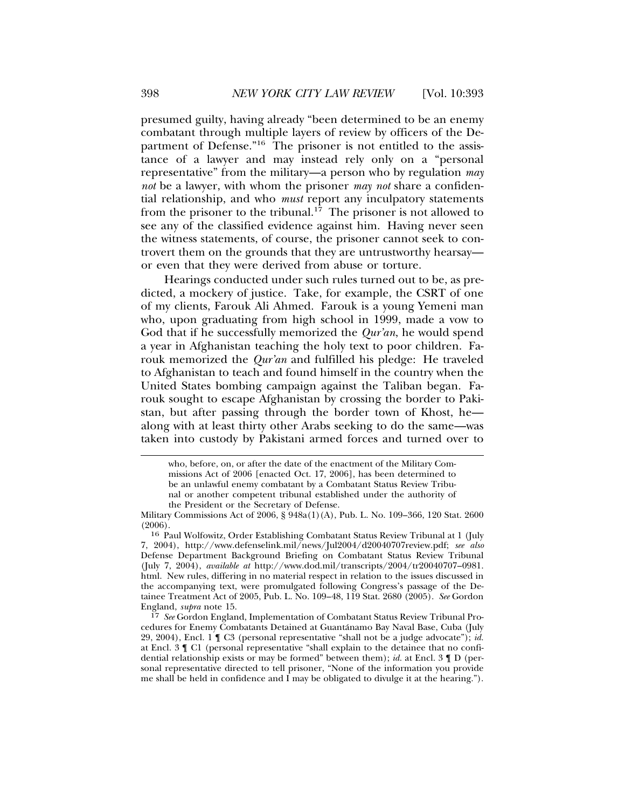presumed guilty, having already "been determined to be an enemy combatant through multiple layers of review by officers of the Department of Defense."<sup>16</sup> The prisoner is not entitled to the assistance of a lawyer and may instead rely only on a "personal representative" from the military—a person who by regulation *may not* be a lawyer, with whom the prisoner *may not* share a confidential relationship, and who *must* report any inculpatory statements from the prisoner to the tribunal.<sup>17</sup> The prisoner is not allowed to see any of the classified evidence against him. Having never seen the witness statements, of course, the prisoner cannot seek to controvert them on the grounds that they are untrustworthy hearsay or even that they were derived from abuse or torture.

Hearings conducted under such rules turned out to be, as predicted, a mockery of justice. Take, for example, the CSRT of one of my clients, Farouk Ali Ahmed. Farouk is a young Yemeni man who, upon graduating from high school in 1999, made a vow to God that if he successfully memorized the *Qur'an*, he would spend a year in Afghanistan teaching the holy text to poor children. Farouk memorized the *Qur'an* and fulfilled his pledge: He traveled to Afghanistan to teach and found himself in the country when the United States bombing campaign against the Taliban began. Farouk sought to escape Afghanistan by crossing the border to Pakistan, but after passing through the border town of Khost, he along with at least thirty other Arabs seeking to do the same—was taken into custody by Pakistani armed forces and turned over to

who, before, on, or after the date of the enactment of the Military Commissions Act of 2006 [enacted Oct. 17, 2006], has been determined to be an unlawful enemy combatant by a Combatant Status Review Tribunal or another competent tribunal established under the authority of the President or the Secretary of Defense.

Military Commissions Act of 2006, § 948a(1)(A), Pub. L. No. 109–366, 120 Stat. 2600 (2006).

<sup>16</sup> Paul Wolfowitz, Order Establishing Combatant Status Review Tribunal at 1 (July 7, 2004), http://www.defenselink.mil/news/Jul2004/d20040707review.pdf; *see also* Defense Department Background Briefing on Combatant Status Review Tribunal (July 7, 2004), *available at* http://www.dod.mil/transcripts/2004/tr20040707–0981. html. New rules, differing in no material respect in relation to the issues discussed in the accompanying text, were promulgated following Congress's passage of the Detainee Treatment Act of 2005, Pub. L. No. 109–48, 119 Stat. 2680 (2005). *See* Gordon England, *supra* note 15.

<sup>17</sup> *See* Gordon England, Implementation of Combatant Status Review Tribunal Procedures for Enemy Combatants Detained at Guantanamo Bay Naval Base, Cuba (July ´ 29, 2004), Encl. 1 ¶ C3 (personal representative "shall not be a judge advocate"); *id.* at Encl. 3 ¶ C1 (personal representative "shall explain to the detainee that no confidential relationship exists or may be formed" between them); *id.* at Encl. 3 ¶ D (personal representative directed to tell prisoner, "None of the information you provide me shall be held in confidence and  $\overline{I}$  may be obligated to divulge it at the hearing.").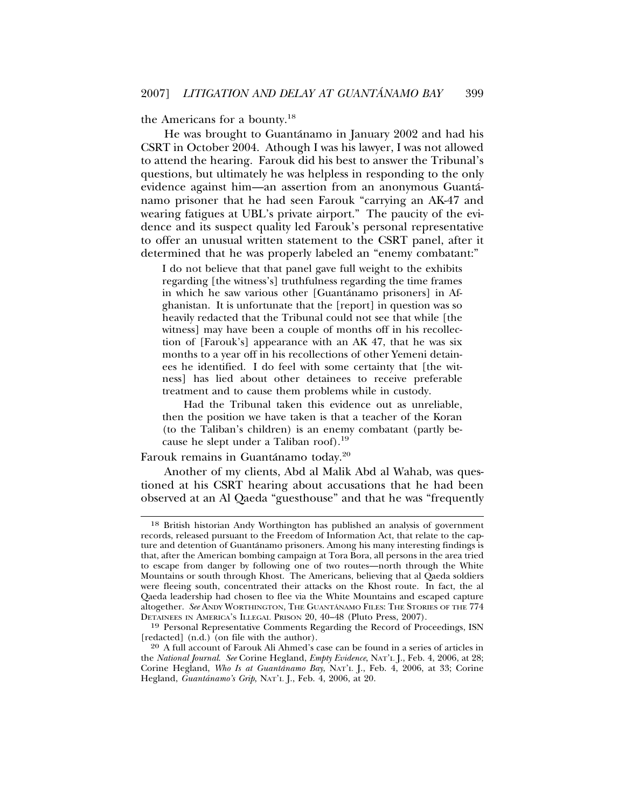the Americans for a bounty.18

He was brought to Guantánamo in January 2002 and had his CSRT in October 2004. Athough I was his lawyer, I was not allowed to attend the hearing. Farouk did his best to answer the Tribunal's questions, but ultimately he was helpless in responding to the only evidence against him—an assertion from an anonymous Guanta-´ namo prisoner that he had seen Farouk "carrying an AK-47 and wearing fatigues at UBL's private airport." The paucity of the evidence and its suspect quality led Farouk's personal representative to offer an unusual written statement to the CSRT panel, after it determined that he was properly labeled an "enemy combatant:"

I do not believe that that panel gave full weight to the exhibits regarding [the witness's] truthfulness regarding the time frames in which he saw various other [Guantánamo prisoners] in Afghanistan. It is unfortunate that the [report] in question was so heavily redacted that the Tribunal could not see that while [the witness] may have been a couple of months off in his recollection of [Farouk's] appearance with an AK 47, that he was six months to a year off in his recollections of other Yemeni detainees he identified. I do feel with some certainty that [the witness] has lied about other detainees to receive preferable treatment and to cause them problems while in custody.

Had the Tribunal taken this evidence out as unreliable, then the position we have taken is that a teacher of the Koran (to the Taliban's children) is an enemy combatant (partly because he slept under a Taliban roof).<sup>19</sup>

Farouk remains in Guantánamo today.<sup>20</sup>

Another of my clients, Abd al Malik Abd al Wahab, was questioned at his CSRT hearing about accusations that he had been observed at an Al Qaeda "guesthouse" and that he was "frequently

<sup>18</sup> British historian Andy Worthington has published an analysis of government records, released pursuant to the Freedom of Information Act, that relate to the capture and detention of Guantánamo prisoners. Among his many interesting findings is that, after the American bombing campaign at Tora Bora, all persons in the area tried to escape from danger by following one of two routes—north through the White Mountains or south through Khost. The Americans, believing that al  $\alpha$  aeda soldiers were fleeing south, concentrated their attacks on the Khost route. In fact, the al Qaeda leadership had chosen to flee via the White Mountains and escaped capture altogether. See ANDY WORTHINGTON, THE GUANTÁNAMO FILES: THE STORIES OF THE 774 DETAINEES IN AMERICA'S ILLEGAL PRISON 20, 40–48 (Pluto Press, 2007).

<sup>19</sup> Personal Representative Comments Regarding the Record of Proceedings, ISN [redacted] (n.d.) (on file with the author).

<sup>20</sup> A full account of Farouk Ali Ahmed's case can be found in a series of articles in the *National Journal*. *See* Corine Hegland, *Empty Evidence*, NAT'L J., Feb. 4, 2006, at 28; Corine Hegland, *Who Is at Guantánamo Bay*, NAT'L J., Feb. 4, 2006, at 33; Corine Hegland, *Guantánamo's Grip*, NAT'L J., Feb. 4, 2006, at 20.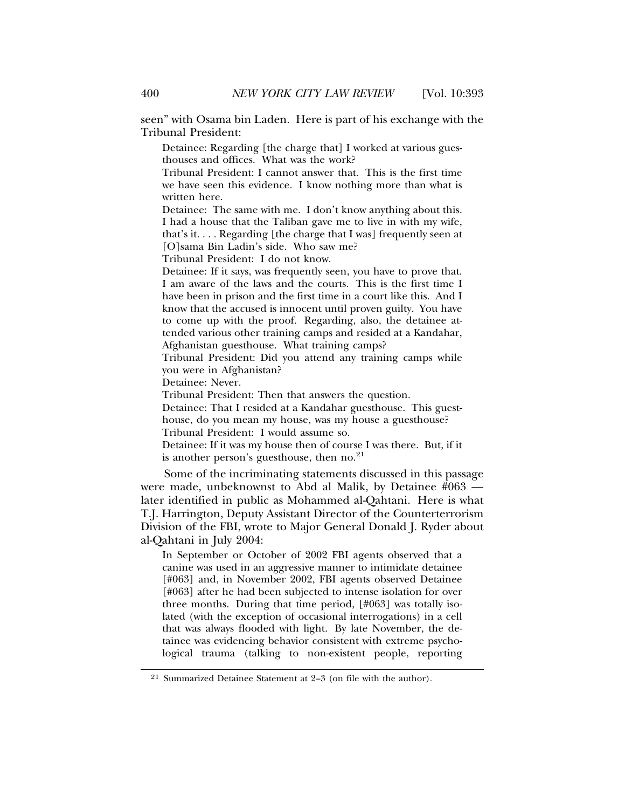seen" with Osama bin Laden. Here is part of his exchange with the Tribunal President:

Detainee: Regarding [the charge that] I worked at various guesthouses and offices. What was the work?

Tribunal President: I cannot answer that. This is the first time we have seen this evidence. I know nothing more than what is written here.

Detainee: The same with me. I don't know anything about this. I had a house that the Taliban gave me to live in with my wife, that's it. . . . Regarding [the charge that I was] frequently seen at [O]sama Bin Ladin's side. Who saw me?

Tribunal President: I do not know.

Detainee: If it says, was frequently seen, you have to prove that. I am aware of the laws and the courts. This is the first time I have been in prison and the first time in a court like this. And I know that the accused is innocent until proven guilty. You have to come up with the proof. Regarding, also, the detainee attended various other training camps and resided at a Kandahar, Afghanistan guesthouse. What training camps?

Tribunal President: Did you attend any training camps while you were in Afghanistan?

Detainee: Never.

Tribunal President: Then that answers the question.

Detainee: That I resided at a Kandahar guesthouse. This guesthouse, do you mean my house, was my house a guesthouse? Tribunal President: I would assume so.

Detainee: If it was my house then of course I was there. But, if it is another person's guesthouse, then  $no.^{21}$ 

Some of the incriminating statements discussed in this passage were made, unbeknownst to Abd al Malik, by Detainee #063 later identified in public as Mohammed al-Qahtani. Here is what T.J. Harrington, Deputy Assistant Director of the Counterterrorism Division of the FBI, wrote to Major General Donald J. Ryder about al-Qahtani in July 2004:

In September or October of 2002 FBI agents observed that a canine was used in an aggressive manner to intimidate detainee [#063] and, in November 2002, FBI agents observed Detainee [#063] after he had been subjected to intense isolation for over three months. During that time period, [#063] was totally isolated (with the exception of occasional interrogations) in a cell that was always flooded with light. By late November, the detainee was evidencing behavior consistent with extreme psychological trauma (talking to non-existent people, reporting

<sup>21</sup> Summarized Detainee Statement at 2–3 (on file with the author).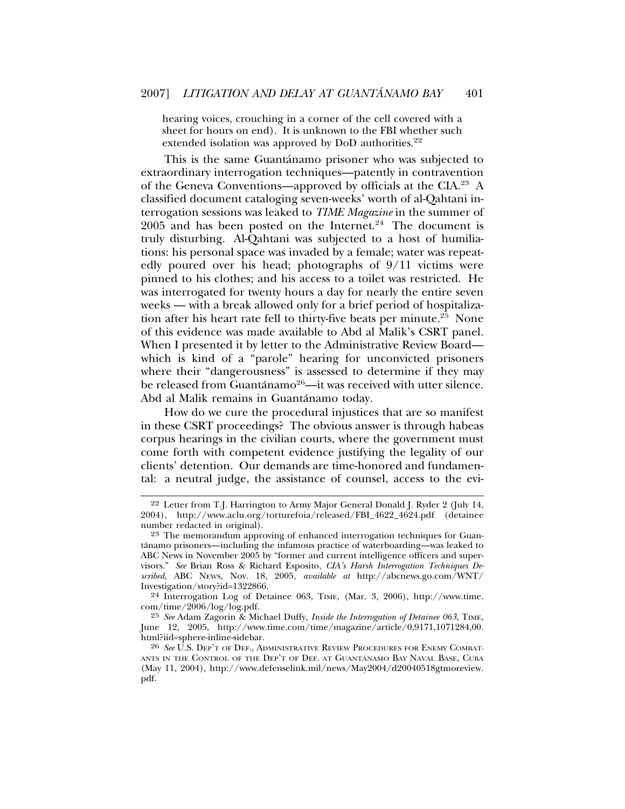hearing voices, crouching in a corner of the cell covered with a sheet for hours on end). It is unknown to the FBI whether such extended isolation was approved by DoD authorities. $22$ 

This is the same Guantánamo prisoner who was subjected to extraordinary interrogation techniques—patently in contravention of the Geneva Conventions—approved by officials at the CIA.23 A classified document cataloging seven-weeks' worth of al-Qahtani interrogation sessions was leaked to *TIME Magazine* in the summer of  $2005$  and has been posted on the Internet.<sup>24</sup> The document is truly disturbing. Al-Qahtani was subjected to a host of humiliations: his personal space was invaded by a female; water was repeatedly poured over his head; photographs of 9/11 victims were pinned to his clothes; and his access to a toilet was restricted. He was interrogated for twenty hours a day for nearly the entire seven weeks — with a break allowed only for a brief period of hospitalization after his heart rate fell to thirty-five beats per minute.<sup>25</sup> None of this evidence was made available to Abd al Malik's CSRT panel. When I presented it by letter to the Administrative Review Board which is kind of a "parole" hearing for unconvicted prisoners where their "dangerousness" is assessed to determine if they may be released from Guantánamo<sup>26</sup>—it was received with utter silence. Abd al Malik remains in Guantánamo today.

How do we cure the procedural injustices that are so manifest in these CSRT proceedings? The obvious answer is through habeas corpus hearings in the civilian courts, where the government must come forth with competent evidence justifying the legality of our clients' detention. Our demands are time-honored and fundamental: a neutral judge, the assistance of counsel, access to the evi-

<sup>22</sup> Letter from T.J. Harrington to Army Major General Donald J. Ryder 2 (July 14, 2004), http://www.aclu.org/torturefoia/released/FBI\_4622\_4624.pdf (detainee number redacted in original).

<sup>23</sup> The memorandum approving of enhanced interrogation techniques for Guantanamo prisoners—including the infamous practice of waterboarding—was leaked to ´ ABC News in November 2005 by "former and current intelligence officers and supervisors." *See* Brian Ross & Richard Esposito, *CIA's Harsh Interrogation Techniques Described*, ABC NEWS, Nov. 18, 2005, *available at* http://abcnews.go.com/WNT/ Investigation/story?id=1322866.

<sup>24</sup> Interrogation Log of Detainee 063, TIME, (Mar. 3, 2006), http://www.time. com/time/2006/log/log.pdf.

<sup>25</sup> *See* Adam Zagorin & Michael Duffy, *Inside the Interrogation of Detainee 063*, TIME, June 12, 2005, http://www.time.com/time/magazine/article/0,9171,1071284,00. html?iid=sphere-inline-sidebar.

<sup>26</sup> *See* U.S. DEP'T OF DEF., ADMINISTRATIVE REVIEW PROCEDURES FOR ENEMY COMBAT-ANTS IN THE CONTROL OF THE DEP'T OF DEF. AT GUANTANAMO BAY NAVAL BASE, CUBA (May 11, 2004), http://www.defenselink.mil/news/May2004/d20040518gtmoreview. pdf.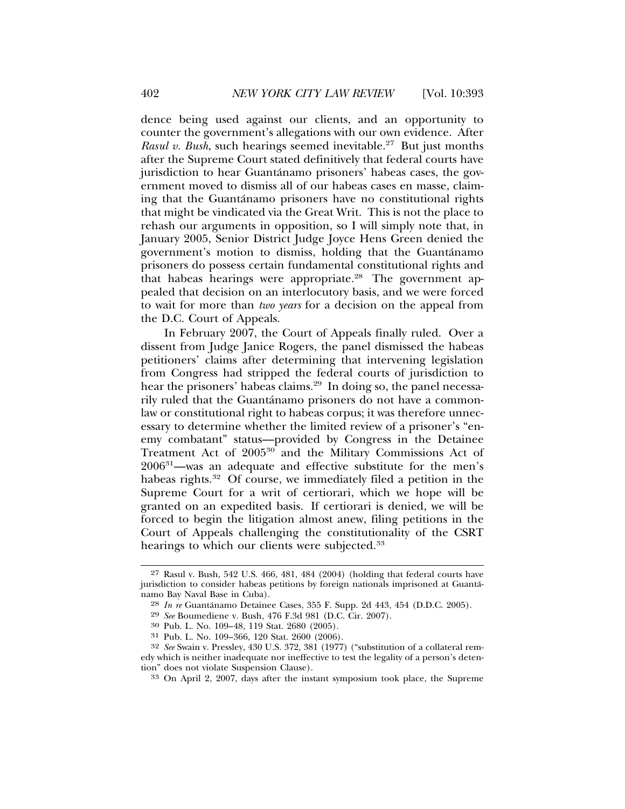dence being used against our clients, and an opportunity to counter the government's allegations with our own evidence. After *Rasul v. Bush*, such hearings seemed inevitable.<sup>27</sup> But just months after the Supreme Court stated definitively that federal courts have jurisdiction to hear Guantánamo prisoners' habeas cases, the government moved to dismiss all of our habeas cases en masse, claiming that the Guantanamo prisoners have no constitutional rights that might be vindicated via the Great Writ. This is not the place to rehash our arguments in opposition, so I will simply note that, in January 2005, Senior District Judge Joyce Hens Green denied the government's motion to dismiss, holding that the Guantanamo ´ prisoners do possess certain fundamental constitutional rights and that habeas hearings were appropriate.<sup>28</sup> The government appealed that decision on an interlocutory basis, and we were forced to wait for more than *two years* for a decision on the appeal from the D.C. Court of Appeals.

In February 2007, the Court of Appeals finally ruled. Over a dissent from Judge Janice Rogers, the panel dismissed the habeas petitioners' claims after determining that intervening legislation from Congress had stripped the federal courts of jurisdiction to hear the prisoners' habeas claims.<sup>29</sup> In doing so, the panel necessarily ruled that the Guantánamo prisoners do not have a commonlaw or constitutional right to habeas corpus; it was therefore unnecessary to determine whether the limited review of a prisoner's "enemy combatant" status—provided by Congress in the Detainee Treatment Act of 2005<sup>30</sup> and the Military Commissions Act of 200631—was an adequate and effective substitute for the men's habeas rights.<sup>32</sup> Of course, we immediately filed a petition in the Supreme Court for a writ of certiorari, which we hope will be granted on an expedited basis. If certiorari is denied, we will be forced to begin the litigation almost anew, filing petitions in the Court of Appeals challenging the constitutionality of the CSRT hearings to which our clients were subjected.<sup>33</sup>

<sup>27</sup> Rasul v. Bush, 542 U.S. 466, 481, 484 (2004) (holding that federal courts have jurisdiction to consider habeas petitions by foreign nationals imprisoned at Guanta-´ namo Bay Naval Base in Cuba).

<sup>&</sup>lt;sup>28</sup> *In re* Guantánamo Detainee Cases, 355 F. Supp. 2d 443, 454 (D.D.C. 2005).<br><sup>29</sup> *See* Boumediene v. Bush, 476 F.3d 981 (D.C. Cir. 2007).<br><sup>30</sup> Pub. L. No. 109–48, 119 Stat. 2680 (2005).

<sup>31</sup> Pub. L. No. 109–366, 120 Stat. 2600 (2006).

<sup>32</sup> *See* Swain v. Pressley, 430 U.S. 372, 381 (1977) ("substitution of a collateral remedy which is neither inadequate nor ineffective to test the legality of a person's detention" does not violate Suspension Clause).

<sup>33</sup> On April 2, 2007, days after the instant symposium took place, the Supreme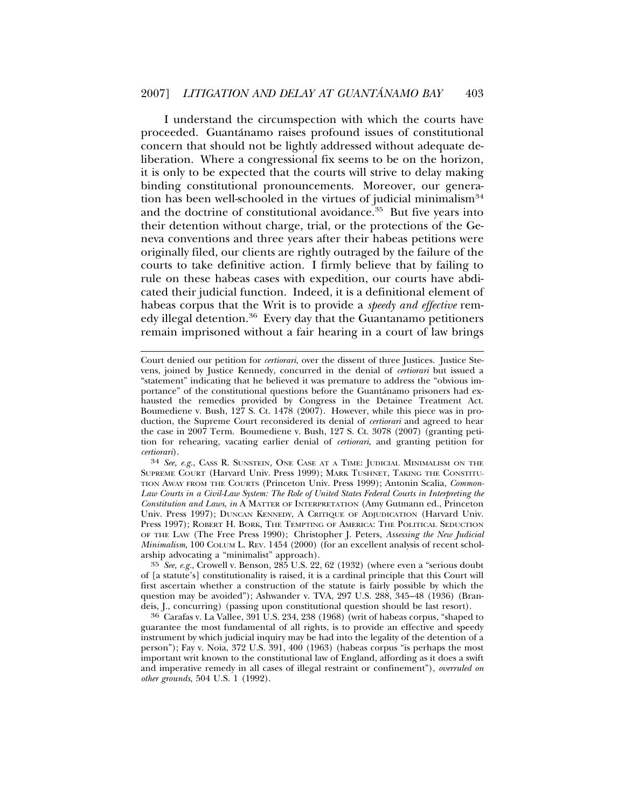I understand the circumspection with which the courts have proceeded. Guantánamo raises profound issues of constitutional concern that should not be lightly addressed without adequate deliberation. Where a congressional fix seems to be on the horizon, it is only to be expected that the courts will strive to delay making binding constitutional pronouncements. Moreover, our generation has been well-schooled in the virtues of judicial minimalism $34$ and the doctrine of constitutional avoidance.<sup>35</sup> But five years into their detention without charge, trial, or the protections of the Geneva conventions and three years after their habeas petitions were originally filed, our clients are rightly outraged by the failure of the courts to take definitive action. I firmly believe that by failing to rule on these habeas cases with expedition, our courts have abdicated their judicial function. Indeed, it is a definitional element of habeas corpus that the Writ is to provide a *speedy and effective* remedy illegal detention.<sup>36</sup> Every day that the Guantanamo petitioners remain imprisoned without a fair hearing in a court of law brings

34 *See, e.g.*, CASS R. SUNSTEIN, ONE CASE AT A TIME: JUDICIAL MINIMALISM ON THE SUPREME COURT (Harvard Univ. Press 1999); MARK TUSHNET, TAKING THE CONSTITU-TION AWAY FROM THE COURTS (Princeton Univ. Press 1999); Antonin Scalia, *Common-Law Courts in a Civil-Law System: The Role of United States Federal Courts in Interpreting the Constitution and Laws*, *in* A MATTER OF INTERPRETATION (Amy Gutmann ed., Princeton Univ. Press 1997); DUNCAN KENNEDY, A CRITIQUE OF ADJUDICATION (Harvard Univ. Press 1997); ROBERT H. BORK, THE TEMPTING OF AMERICA: THE POLITICAL SEDUCTION OF THE LAW (The Free Press 1990); Christopher J. Peters, *Assessing the New Judicial Minimalism*, 100 COLUM L. REV. 1454 (2000) (for an excellent analysis of recent scholarship advocating a "minimalist" approach).

35 *See, e.g.*, Crowell v. Benson, 285 U.S. 22, 62 (1932) (where even a "serious doubt of [a statute's] constitutionality is raised, it is a cardinal principle that this Court will first ascertain whether a construction of the statute is fairly possible by which the question may be avoided"); Ashwander v. TVA, 297 U.S. 288, 345–48 (1936) (Brandeis, J., concurring) (passing upon constitutional question should be last resort).

36 Carafas v. La Vallee, 391 U.S. 234, 238 (1968) (writ of habeas corpus, "shaped to guarantee the most fundamental of all rights, is to provide an effective and speedy instrument by which judicial inquiry may be had into the legality of the detention of a person"); Fay v. Noia, 372 U.S. 391, 400 (1963) (habeas corpus "is perhaps the most important writ known to the constitutional law of England, affording as it does a swift and imperative remedy in all cases of illegal restraint or confinement"), *overruled on other grounds*, 504 U.S. 1 (1992).

Court denied our petition for *certiorari,* over the dissent of three Justices. Justice Stevens, joined by Justice Kennedy, concurred in the denial of *certiorari* but issued a "statement" indicating that he believed it was premature to address the "obvious importance" of the constitutional questions before the Guantanamo prisoners had ex- ´ hausted the remedies provided by Congress in the Detainee Treatment Act. Boumediene v. Bush, 127 S. Ct. 1478 (2007). However, while this piece was in production, the Supreme Court reconsidered its denial of *certiorari* and agreed to hear the case in 2007 Term. Boumediene v. Bush, 127 S. Ct. 3078 (2007) (granting petition for rehearing, vacating earlier denial of *certiorari*, and granting petition for *certiorari*).